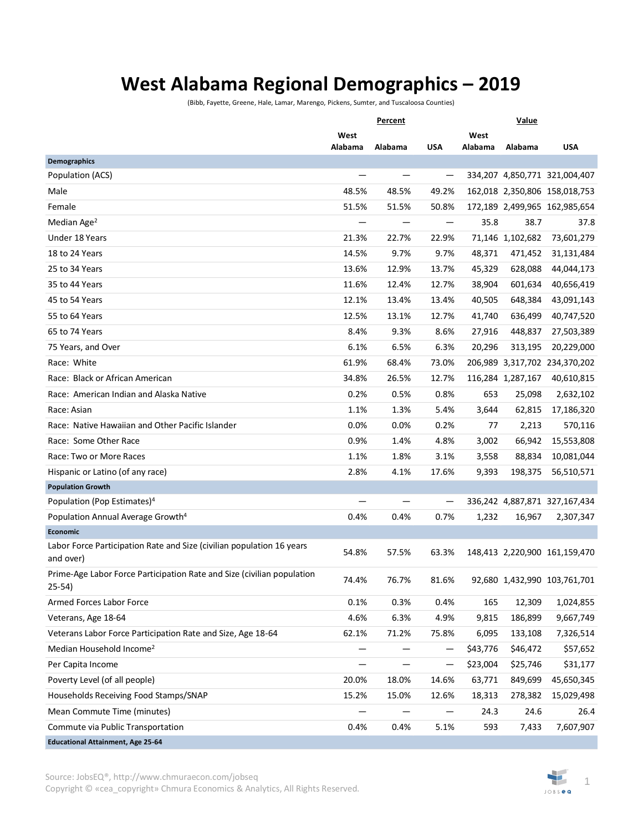## **West Alabama Regional Demographics – 2019**

(Bibb, Fayette, Greene, Hale, Lamar, Marengo, Pickens, Sumter, and Tuscaloosa Counties)

|                                                                                    | Percent |         |            | Value    |                   |                               |
|------------------------------------------------------------------------------------|---------|---------|------------|----------|-------------------|-------------------------------|
|                                                                                    | West    |         |            | West     |                   |                               |
| Demographics                                                                       | Alabama | Alabama | <b>USA</b> | Alabama  | Alabama           | <b>USA</b>                    |
| Population (ACS)                                                                   |         |         |            |          |                   | 334,207 4,850,771 321,004,407 |
| Male                                                                               | 48.5%   | 48.5%   | 49.2%      |          |                   | 162,018 2,350,806 158,018,753 |
| Female                                                                             | 51.5%   | 51.5%   | 50.8%      |          |                   | 172,189 2,499,965 162,985,654 |
| Median Age <sup>2</sup>                                                            |         |         |            | 35.8     | 38.7              | 37.8                          |
| Under 18 Years                                                                     | 21.3%   | 22.7%   | 22.9%      |          | 71,146 1,102,682  | 73,601,279                    |
| 18 to 24 Years                                                                     | 14.5%   | 9.7%    | 9.7%       | 48,371   | 471,452           | 31,131,484                    |
| 25 to 34 Years                                                                     | 13.6%   | 12.9%   | 13.7%      | 45,329   | 628,088           | 44,044,173                    |
| 35 to 44 Years                                                                     | 11.6%   | 12.4%   | 12.7%      | 38,904   | 601,634           | 40,656,419                    |
| 45 to 54 Years                                                                     | 12.1%   | 13.4%   | 13.4%      | 40,505   | 648,384           | 43,091,143                    |
| 55 to 64 Years                                                                     | 12.5%   | 13.1%   | 12.7%      | 41,740   | 636,499           | 40,747,520                    |
| 65 to 74 Years                                                                     | 8.4%    | 9.3%    | 8.6%       | 27,916   | 448,837           | 27,503,389                    |
| 75 Years, and Over                                                                 | 6.1%    | 6.5%    | 6.3%       | 20,296   | 313,195           | 20,229,000                    |
| Race: White                                                                        | 61.9%   | 68.4%   | 73.0%      |          |                   | 206,989 3,317,702 234,370,202 |
| Race: Black or African American                                                    | 34.8%   | 26.5%   | 12.7%      |          | 116,284 1,287,167 | 40,610,815                    |
| Race: American Indian and Alaska Native                                            | 0.2%    | 0.5%    | 0.8%       | 653      | 25,098            | 2,632,102                     |
| Race: Asian                                                                        | 1.1%    | 1.3%    | 5.4%       | 3,644    | 62,815            | 17,186,320                    |
| Race: Native Hawaiian and Other Pacific Islander                                   | 0.0%    | 0.0%    | 0.2%       | 77       | 2,213             | 570,116                       |
| Race: Some Other Race                                                              | 0.9%    | 1.4%    | 4.8%       | 3,002    | 66,942            | 15,553,808                    |
| Race: Two or More Races                                                            | 1.1%    | 1.8%    | 3.1%       | 3,558    | 88,834            | 10,081,044                    |
| Hispanic or Latino (of any race)                                                   | 2.8%    | 4.1%    | 17.6%      | 9,393    | 198,375           | 56,510,571                    |
| <b>Population Growth</b>                                                           |         |         |            |          |                   |                               |
| Population (Pop Estimates) <sup>4</sup>                                            |         |         |            |          |                   | 336,242 4,887,871 327,167,434 |
| Population Annual Average Growth <sup>4</sup>                                      | 0.4%    | 0.4%    | 0.7%       | 1,232    | 16,967            | 2,307,347                     |
| <b>Economic</b>                                                                    |         |         |            |          |                   |                               |
| Labor Force Participation Rate and Size (civilian population 16 years<br>and over) | 54.8%   | 57.5%   | 63.3%      |          |                   | 148,413 2,220,900 161,159,470 |
| Prime-Age Labor Force Participation Rate and Size (civilian population<br>$25-54)$ | 74.4%   | 76.7%   | 81.6%      |          |                   | 92,680 1,432,990 103,761,701  |
| Armed Forces Labor Force                                                           | 0.1%    | 0.3%    | 0.4%       | 165      | 12,309            | 1,024,855                     |
| Veterans, Age 18-64                                                                | 4.6%    | 6.3%    | 4.9%       | 9,815    | 186,899           | 9,667,749                     |
| Veterans Labor Force Participation Rate and Size, Age 18-64                        | 62.1%   | 71.2%   | 75.8%      | 6,095    | 133,108           | 7,326,514                     |
| Median Household Income <sup>2</sup>                                               |         |         |            | \$43,776 | \$46,472          | \$57,652                      |
| Per Capita Income                                                                  |         |         | —          | \$23,004 | \$25,746          | \$31,177                      |
| Poverty Level (of all people)                                                      | 20.0%   | 18.0%   | 14.6%      | 63,771   | 849,699           | 45,650,345                    |
| Households Receiving Food Stamps/SNAP                                              | 15.2%   | 15.0%   | 12.6%      | 18,313   | 278,382           | 15,029,498                    |
| Mean Commute Time (minutes)                                                        |         |         |            | 24.3     | 24.6              | 26.4                          |
| Commute via Public Transportation                                                  | 0.4%    | 0.4%    | 5.1%       | 593      | 7,433             | 7,607,907                     |
| <b>Educational Attainment, Age 25-64</b>                                           |         |         |            |          |                   |                               |